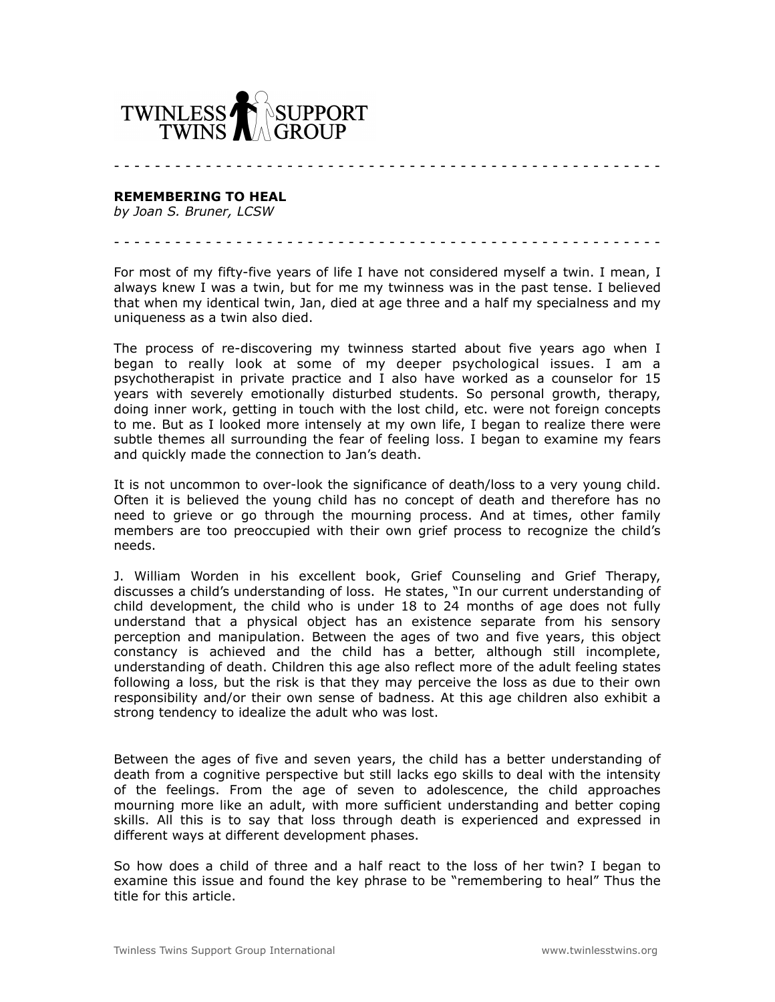

## **REMEMBERING TO HEAL**

*by Joan S. Bruner, LCSW*

For most of my fifty-five years of life I have not considered myself a twin. I mean, I always knew I was a twin, but for me my twinness was in the past tense. I believed that when my identical twin, Jan, died at age three and a half my specialness and my uniqueness as a twin also died.

- - - - - - - - - - - - - - - - - - - - - - - - - - - - - - - - - - - - - - - - - - - - - - - - - - - - - -

- - - - - - - - - - - - - - - - - - - - - - - - - - - - - - - - - - - - - - - - - - - - - - - - - - - - - -

The process of re-discovering my twinness started about five years ago when I began to really look at some of my deeper psychological issues. I am a psychotherapist in private practice and I also have worked as a counselor for 15 years with severely emotionally disturbed students. So personal growth, therapy, doing inner work, getting in touch with the lost child, etc. were not foreign concepts to me. But as I looked more intensely at my own life, I began to realize there were subtle themes all surrounding the fear of feeling loss. I began to examine my fears and quickly made the connection to Jan's death.

It is not uncommon to over-look the significance of death/loss to a very young child. Often it is believed the young child has no concept of death and therefore has no need to grieve or go through the mourning process. And at times, other family members are too preoccupied with their own grief process to recognize the child's needs.

J. William Worden in his excellent book, Grief Counseling and Grief Therapy, discusses a child's understanding of loss. He states, "In our current understanding of child development, the child who is under 18 to 24 months of age does not fully understand that a physical object has an existence separate from his sensory perception and manipulation. Between the ages of two and five years, this object constancy is achieved and the child has a better, although still incomplete, understanding of death. Children this age also reflect more of the adult feeling states following a loss, but the risk is that they may perceive the loss as due to their own responsibility and/or their own sense of badness. At this age children also exhibit a strong tendency to idealize the adult who was lost.

Between the ages of five and seven years, the child has a better understanding of death from a cognitive perspective but still lacks ego skills to deal with the intensity of the feelings. From the age of seven to adolescence, the child approaches mourning more like an adult, with more sufficient understanding and better coping skills. All this is to say that loss through death is experienced and expressed in different ways at different development phases.

So how does a child of three and a half react to the loss of her twin? I began to examine this issue and found the key phrase to be "remembering to heal" Thus the title for this article.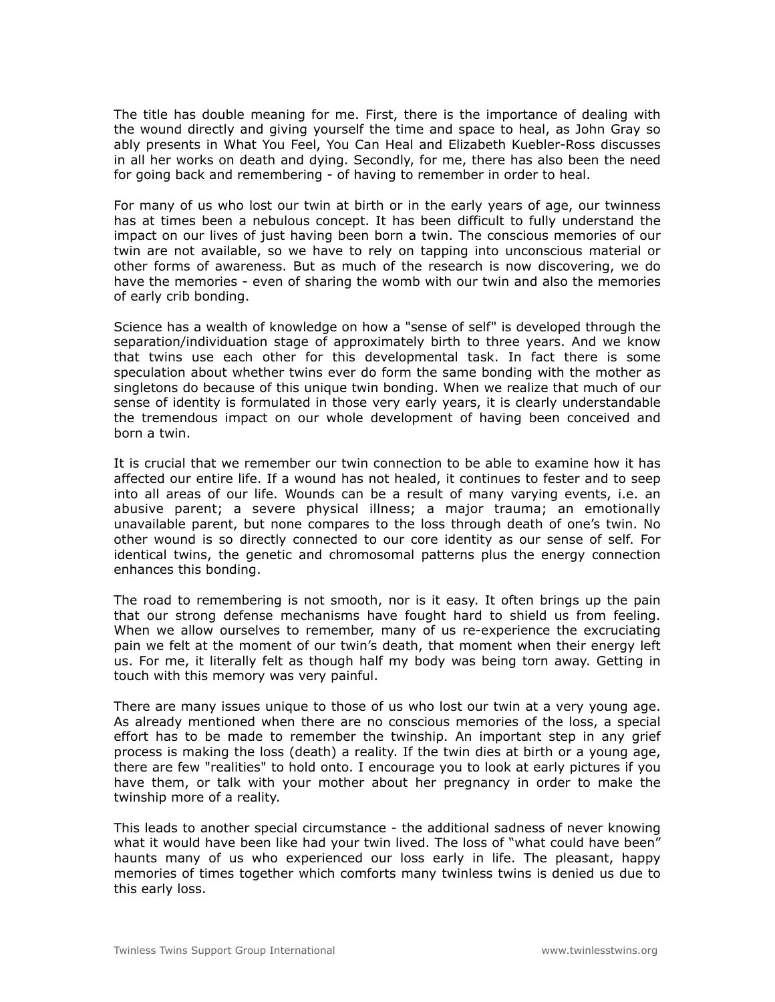The title has double meaning for me. First, there is the importance of dealing with the wound directly and giving yourself the time and space to heal, as John Gray so ably presents in What You Feel, You Can Heal and Elizabeth Kuebler-Ross discusses in all her works on death and dying. Secondly, for me, there has also been the need for going back and remembering - of having to remember in order to heal.

For many of us who lost our twin at birth or in the early years of age, our twinness has at times been a nebulous concept. It has been difficult to fully understand the impact on our lives of just having been born a twin. The conscious memories of our twin are not available, so we have to rely on tapping into unconscious material or other forms of awareness. But as much of the research is now discovering, we do have the memories - even of sharing the womb with our twin and also the memories of early crib bonding.

Science has a wealth of knowledge on how a "sense of self" is developed through the separation/individuation stage of approximately birth to three years. And we know that twins use each other for this developmental task. In fact there is some speculation about whether twins ever do form the same bonding with the mother as singletons do because of this unique twin bonding. When we realize that much of our sense of identity is formulated in those very early years, it is clearly understandable the tremendous impact on our whole development of having been conceived and born a twin.

It is crucial that we remember our twin connection to be able to examine how it has affected our entire life. If a wound has not healed, it continues to fester and to seep into all areas of our life. Wounds can be a result of many varying events, i.e. an abusive parent; a severe physical illness; a major trauma; an emotionally unavailable parent, but none compares to the loss through death of one's twin. No other wound is so directly connected to our core identity as our sense of self. For identical twins, the genetic and chromosomal patterns plus the energy connection enhances this bonding.

The road to remembering is not smooth, nor is it easy. It often brings up the pain that our strong defense mechanisms have fought hard to shield us from feeling. When we allow ourselves to remember, many of us re-experience the excruciating pain we felt at the moment of our twin's death, that moment when their energy left us. For me, it literally felt as though half my body was being torn away. Getting in touch with this memory was very painful.

There are many issues unique to those of us who lost our twin at a very young age. As already mentioned when there are no conscious memories of the loss, a special effort has to be made to remember the twinship. An important step in any grief process is making the loss (death) a reality. If the twin dies at birth or a young age, there are few "realities" to hold onto. I encourage you to look at early pictures if you have them, or talk with your mother about her pregnancy in order to make the twinship more of a reality.

This leads to another special circumstance - the additional sadness of never knowing what it would have been like had your twin lived. The loss of "what could have been" haunts many of us who experienced our loss early in life. The pleasant, happy memories of times together which comforts many twinless twins is denied us due to this early loss.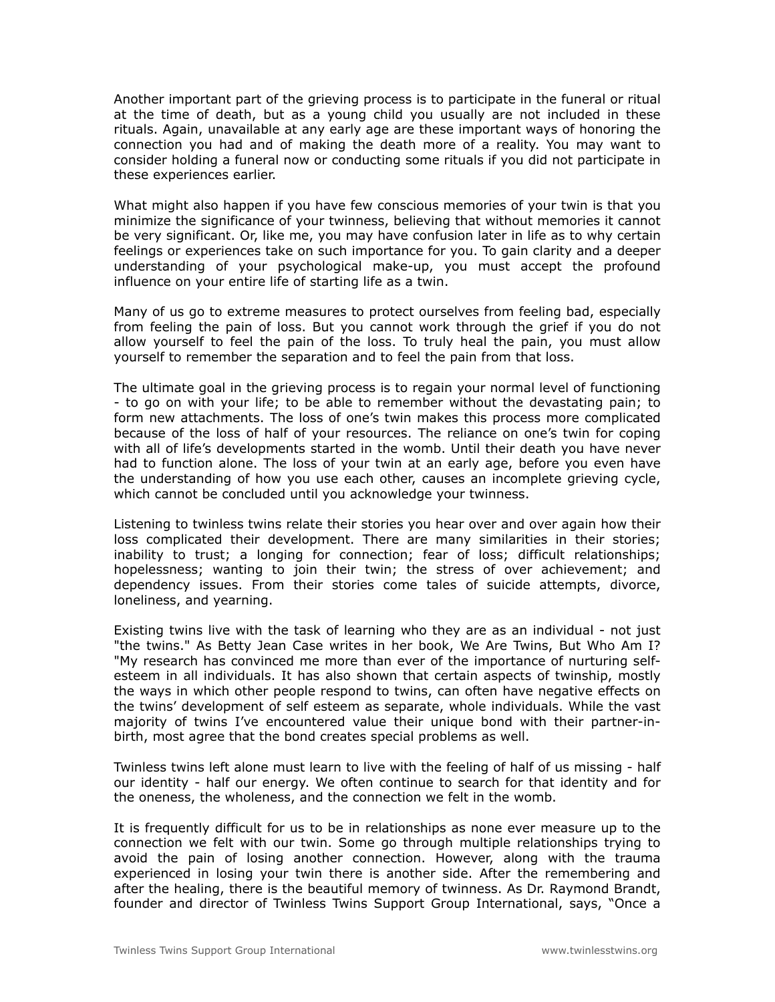Another important part of the grieving process is to participate in the funeral or ritual at the time of death, but as a young child you usually are not included in these rituals. Again, unavailable at any early age are these important ways of honoring the connection you had and of making the death more of a reality. You may want to consider holding a funeral now or conducting some rituals if you did not participate in these experiences earlier.

What might also happen if you have few conscious memories of your twin is that you minimize the significance of your twinness, believing that without memories it cannot be very significant. Or, like me, you may have confusion later in life as to why certain feelings or experiences take on such importance for you. To gain clarity and a deeper understanding of your psychological make-up, you must accept the profound influence on your entire life of starting life as a twin.

Many of us go to extreme measures to protect ourselves from feeling bad, especially from feeling the pain of loss. But you cannot work through the grief if you do not allow yourself to feel the pain of the loss. To truly heal the pain, you must allow yourself to remember the separation and to feel the pain from that loss.

The ultimate goal in the grieving process is to regain your normal level of functioning - to go on with your life; to be able to remember without the devastating pain; to form new attachments. The loss of one's twin makes this process more complicated because of the loss of half of your resources. The reliance on one's twin for coping with all of life's developments started in the womb. Until their death you have never had to function alone. The loss of your twin at an early age, before you even have the understanding of how you use each other, causes an incomplete grieving cycle, which cannot be concluded until you acknowledge your twinness.

Listening to twinless twins relate their stories you hear over and over again how their loss complicated their development. There are many similarities in their stories; inability to trust; a longing for connection; fear of loss; difficult relationships; hopelessness; wanting to join their twin; the stress of over achievement; and dependency issues. From their stories come tales of suicide attempts, divorce, loneliness, and yearning.

Existing twins live with the task of learning who they are as an individual - not just "the twins." As Betty Jean Case writes in her book, We Are Twins, But Who Am I? "My research has convinced me more than ever of the importance of nurturing selfesteem in all individuals. It has also shown that certain aspects of twinship, mostly the ways in which other people respond to twins, can often have negative effects on the twins' development of self esteem as separate, whole individuals. While the vast majority of twins I've encountered value their unique bond with their partner-inbirth, most agree that the bond creates special problems as well.

Twinless twins left alone must learn to live with the feeling of half of us missing - half our identity - half our energy. We often continue to search for that identity and for the oneness, the wholeness, and the connection we felt in the womb.

It is frequently difficult for us to be in relationships as none ever measure up to the connection we felt with our twin. Some go through multiple relationships trying to avoid the pain of losing another connection. However, along with the trauma experienced in losing your twin there is another side. After the remembering and after the healing, there is the beautiful memory of twinness. As Dr. Raymond Brandt, founder and director of Twinless Twins Support Group International, says, "Once a